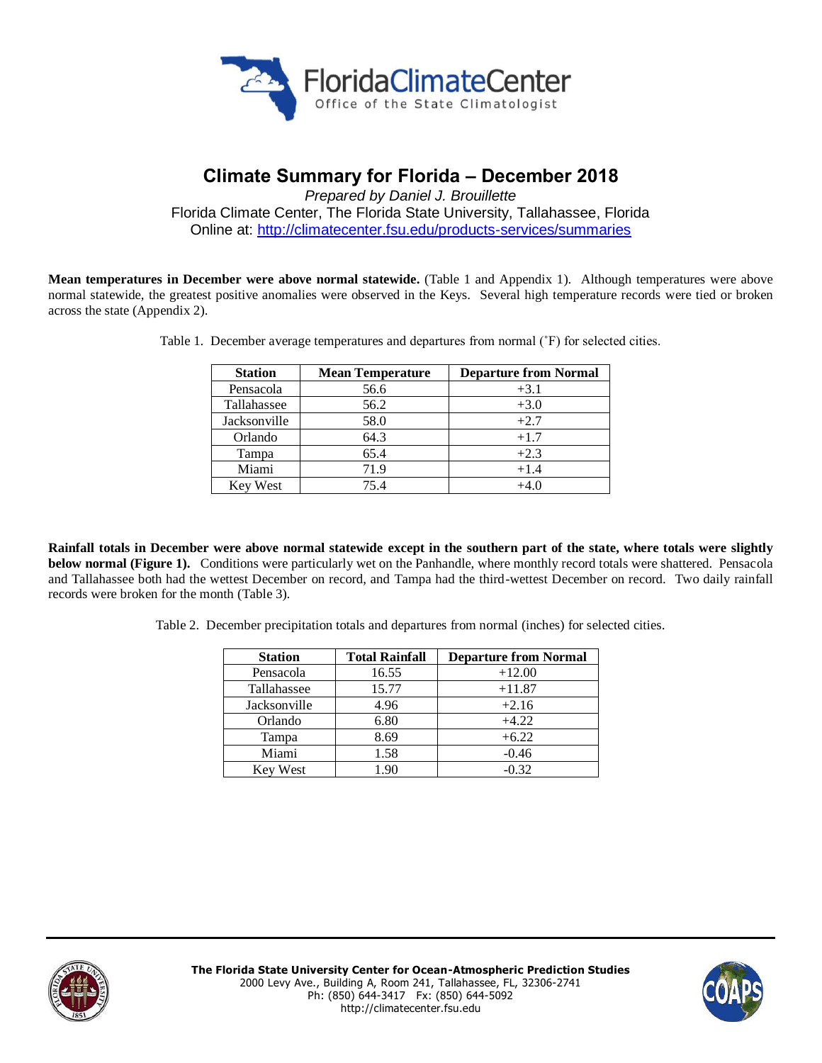

# **Climate Summary for Florida – December 2018**

*Prepared by Daniel J. Brouillette* Florida Climate Center, The Florida State University, Tallahassee, Florida Online at:<http://climatecenter.fsu.edu/products-services/summaries>

**Mean temperatures in December were above normal statewide.** (Table 1 and Appendix 1). Although temperatures were above normal statewide, the greatest positive anomalies were observed in the Keys. Several high temperature records were tied or broken across the state (Appendix 2).

| <b>Station</b>  | <b>Mean Temperature</b> | <b>Departure from Normal</b> |  |
|-----------------|-------------------------|------------------------------|--|
| Pensacola       | 56.6                    | $+3.1$                       |  |
| Tallahassee     | 56.2                    | $+3.0$                       |  |
| Jacksonville    | 58.0                    | $+2.7$                       |  |
| Orlando         | 64.3                    | $+1.7$                       |  |
| Tampa           | 65.4                    | $+2.3$                       |  |
| Miami           | 71.9                    | $+1.4$                       |  |
| <b>Key West</b> | 75.4                    | $+4.0$                       |  |

Table 1. December average temperatures and departures from normal (˚F) for selected cities.

**Rainfall totals in December were above normal statewide except in the southern part of the state, where totals were slightly below normal (Figure 1).** Conditions were particularly wet on the Panhandle, where monthly record totals were shattered. Pensacola and Tallahassee both had the wettest December on record, and Tampa had the third-wettest December on record. Two daily rainfall records were broken for the month (Table 3).

Table 2. December precipitation totals and departures from normal (inches) for selected cities.

| <b>Station</b>  | <b>Total Rainfall</b> | <b>Departure from Normal</b> |  |
|-----------------|-----------------------|------------------------------|--|
| Pensacola       | 16.55                 | $+12.00$                     |  |
| Tallahassee     | 15.77                 | $+11.87$                     |  |
| Jacksonville    | 4.96                  | $+2.16$                      |  |
| Orlando         | 6.80                  | $+4.22$                      |  |
| Tampa           | 8.69                  | $+6.22$                      |  |
| Miami           | 1.58                  | $-0.46$                      |  |
| <b>Key West</b> | 1.90                  | $-0.32$                      |  |



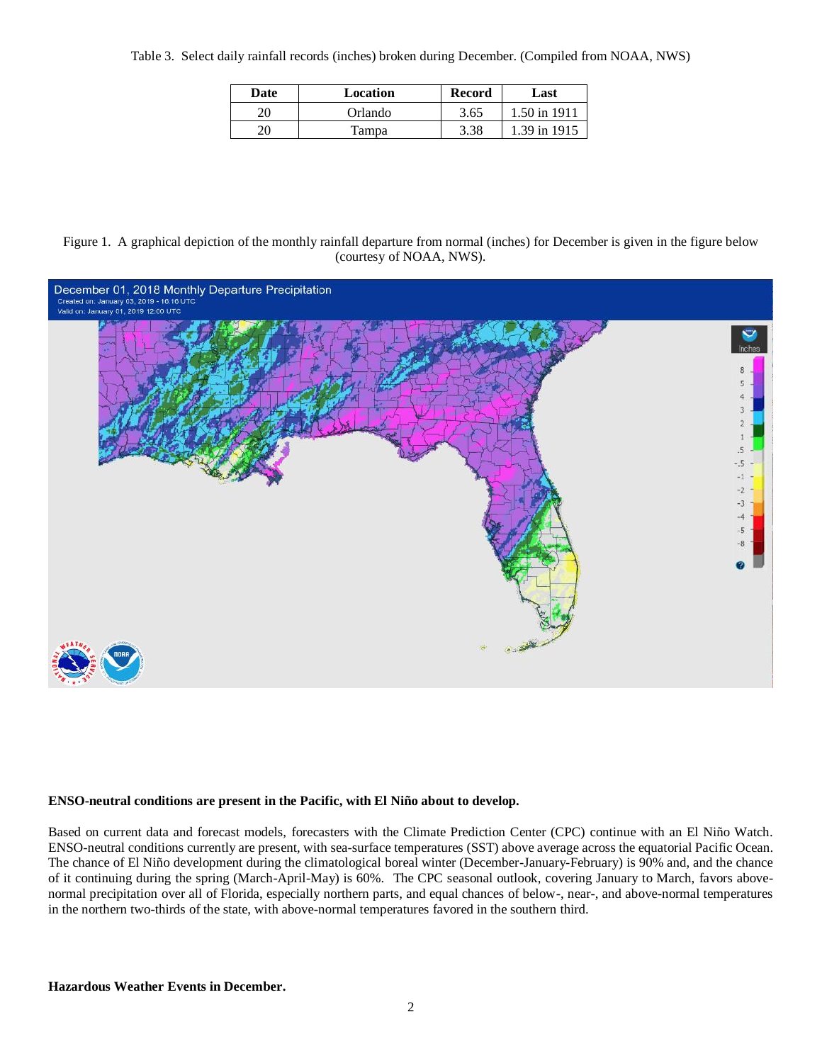Table 3. Select daily rainfall records (inches) broken during December. (Compiled from NOAA, NWS)

| Date | Location | <b>Record</b> | Last         |  |
|------|----------|---------------|--------------|--|
| 20   | Orlando  | 3.65          | 1.50 in 1911 |  |
| 20   | Tampa    | 3.38          | 1.39 in 1915 |  |

Figure 1. A graphical depiction of the monthly rainfall departure from normal (inches) for December is given in the figure below (courtesy of NOAA, NWS).



### **ENSO-neutral conditions are present in the Pacific, with El Niño about to develop.**

Based on current data and forecast models, forecasters with the Climate Prediction Center (CPC) continue with an El Niño Watch. ENSO-neutral conditions currently are present, with sea-surface temperatures (SST) above average across the equatorial Pacific Ocean. The chance of El Niño development during the climatological boreal winter (December-January-February) is 90% and, and the chance of it continuing during the spring (March-April-May) is 60%. The CPC seasonal outlook, covering January to March, favors abovenormal precipitation over all of Florida, especially northern parts, and equal chances of below-, near-, and above-normal temperatures in the northern two-thirds of the state, with above-normal temperatures favored in the southern third.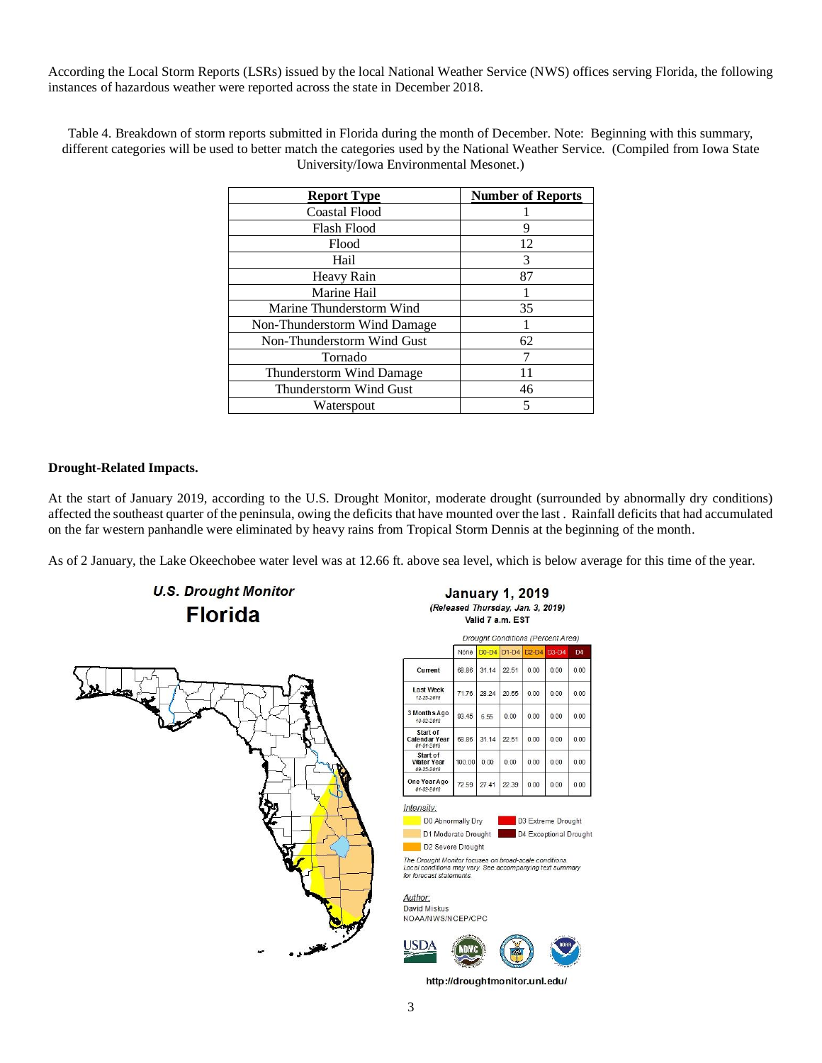According the Local Storm Reports (LSRs) issued by the local National Weather Service (NWS) offices serving Florida, the following instances of hazardous weather were reported across the state in December 2018.

Table 4. Breakdown of storm reports submitted in Florida during the month of December. Note: Beginning with this summary, different categories will be used to better match the categories used by the National Weather Service. (Compiled from Iowa State University/Iowa Environmental Mesonet.)

| <b>Report Type</b>           | <b>Number of Reports</b> |
|------------------------------|--------------------------|
| <b>Coastal Flood</b>         |                          |
| <b>Flash Flood</b>           | q                        |
| Flood                        | 12                       |
| Hail                         | 3                        |
| Heavy Rain                   | 87                       |
| Marine Hail                  |                          |
| Marine Thunderstorm Wind     | 35                       |
| Non-Thunderstorm Wind Damage |                          |
| Non-Thunderstorm Wind Gust   | 62                       |
| Tornado                      |                          |
| Thunderstorm Wind Damage     | 11                       |
| Thunderstorm Wind Gust       | 46                       |
| Waterspout                   |                          |

### **Drought-Related Impacts.**

At the start of January 2019, according to the U.S. Drought Monitor, moderate drought (surrounded by abnormally dry conditions) affected the southeast quarter of the peninsula, owing the deficits that have mounted over the last . Rainfall deficits that had accumulated on the far western panhandle were eliminated by heavy rains from Tropical Storm Dennis at the beginning of the month.

As of 2 January, the Lake Okeechobee water level was at 12.66 ft. above sea level, which is below average for this time of the year.



**U.S. Drought Monitor** 

**January 1, 2019** (Released Thursday, Jan. 3, 2019) Valid 7 a.m. EST

|                                             | <i>Drought Congruents referent Area)</i> |         |         |         |         |                       |
|---------------------------------------------|------------------------------------------|---------|---------|---------|---------|-----------------------|
|                                             | None                                     | $D0-D4$ | $D1-D4$ | $D2-D4$ | $D3-D4$ | $\Gamma$ <sub>4</sub> |
| Current                                     | 68.86                                    | 31.14   | 22.51   | 0.00    | 0.00    | 0.00                  |
| Last Week<br>12-25-2018                     | 71.76                                    | 28.24   | 20.55   | 0.00    | 0.00    | 0.00                  |
| 3 Months Ago<br>10-02-2018                  | 93.45                                    | 6.55    | 0.00    | 0.00    | 0.00    | 0.00                  |
| Start of<br>Calendar Year<br>01-01-2019     | 68.86                                    | 31.14   | 22.51   | 0.00    | 0.00    | 0.00                  |
| Start of<br><b>Water Year</b><br>09-25-2018 | 100.00                                   | 0.00    | 0.00    | 0.00    | 0.00    | 0.00                  |
| One Year Ago<br>01-02-2018                  | 72.59                                    | 27.41   | 22.39   | 0.00    | 0.00    | 0.00                  |

D0 Abnormally Dry

D3 Extreme Drought D1 Moderate Drought D4 Exceptional Drought

The Drought Monitor focuses on broad-scale conditions. Local conditions may vary. See accompanying text summary<br>for forecast statements.

Author: David Miskus NOAA/NWS/NCEP/CPC

D2 Severe Drought

Intensity:



http://droughtmonitor.unl.edu/